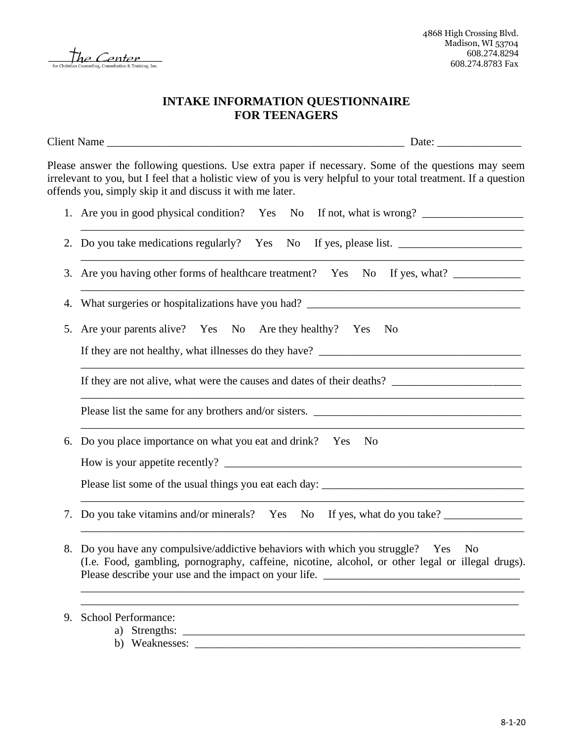

## **INTAKE INFORMATION QUESTIONNAIRE FOR TEENAGERS**

Client Name \_\_\_\_\_\_\_\_\_\_\_\_\_\_\_\_\_\_\_\_\_\_\_\_\_\_\_\_\_\_\_\_\_\_\_\_\_\_\_\_\_\_\_\_\_\_\_\_\_\_\_\_\_ Date: \_\_\_\_\_\_\_\_\_\_\_\_\_\_\_ Please answer the following questions. Use extra paper if necessary. Some of the questions may seem irrelevant to you, but I feel that a holistic view of you is very helpful to your total treatment. If a question offends you, simply skip it and discuss it with me later. 1. Are you in good physical condition? Yes No If not, what is wrong? \_\_\_\_\_\_\_\_\_\_\_\_\_\_\_\_\_\_\_\_\_\_\_\_\_\_\_\_\_\_\_\_\_\_\_\_\_\_\_\_\_\_\_\_\_\_\_\_\_\_\_\_\_\_\_\_\_\_\_\_\_\_\_\_\_\_\_\_\_\_\_\_\_\_\_\_\_\_\_ 2. Do you take medications regularly? Yes No If yes, please list. \_\_\_\_\_\_\_\_\_\_\_\_\_\_\_\_\_\_\_\_\_\_\_\_\_\_\_\_\_\_\_\_\_\_\_\_\_\_\_\_\_\_\_\_\_\_\_\_\_\_\_\_\_\_\_\_\_\_\_\_\_\_\_\_\_\_\_\_\_\_\_\_\_\_\_\_\_\_\_ 3. Are you having other forms of healthcare treatment? Yes No If yes, what? \_\_\_\_\_\_\_\_\_\_\_\_\_\_\_\_\_\_\_\_\_\_\_\_\_\_\_\_\_\_\_\_\_\_\_\_\_\_\_\_\_\_\_\_\_\_\_\_\_\_\_\_\_\_\_\_\_\_\_\_\_\_\_\_\_\_\_\_\_\_\_\_\_\_\_\_\_\_\_ 4. What surgeries or hospitalizations have you had? \_\_\_\_\_\_\_\_\_\_\_\_\_\_\_\_\_\_\_\_\_\_\_\_\_\_\_\_\_ 5. Are your parents alive? Yes No Are they healthy? Yes No If they are not healthy, what illnesses do they have? \_\_\_\_\_\_\_\_\_\_\_\_\_\_\_\_\_\_\_\_\_\_\_\_\_\_\_\_\_\_\_\_\_\_\_\_\_\_\_\_\_\_\_\_\_\_\_\_\_\_\_\_\_\_\_\_\_\_\_\_\_\_\_\_\_\_\_\_\_\_\_\_\_\_\_\_\_\_\_ If they are not alive, what were the causes and dates of their deaths? \_\_\_\_\_\_\_\_\_\_\_\_\_\_\_\_\_\_\_\_\_\_\_ \_\_\_\_\_\_\_\_\_\_\_\_\_\_\_\_\_\_\_\_\_\_\_\_\_\_\_\_\_\_\_\_\_\_\_\_\_\_\_\_\_\_\_\_\_\_\_\_\_\_\_\_\_\_\_\_\_\_\_\_\_\_\_\_\_\_\_\_\_\_\_\_\_\_\_\_\_\_\_ Please list the same for any brothers and/or sisters. \_\_\_\_\_\_\_\_\_\_\_\_\_\_\_\_\_\_\_\_\_\_\_\_\_\_\_ \_\_\_\_\_\_\_\_\_\_\_\_\_\_\_\_\_\_\_\_\_\_\_\_\_\_\_\_\_\_\_\_\_\_\_\_\_\_\_\_\_\_\_\_\_\_\_\_\_\_\_\_\_\_\_\_\_\_\_\_\_\_\_\_\_\_\_\_\_\_\_\_\_\_\_\_\_\_\_ 6. Do you place importance on what you eat and drink? Yes No How is your appetite recently? \_\_\_\_\_\_\_\_\_\_\_\_\_\_\_\_\_\_\_\_\_\_\_\_\_\_\_\_\_\_\_\_\_\_\_\_\_\_\_\_\_\_\_\_\_\_\_\_\_\_\_\_\_ Please list some of the usual things you eat each day: \_\_\_\_\_\_\_\_\_\_\_\_\_\_\_\_\_\_\_\_\_\_\_\_\_\_\_\_\_\_\_\_\_\_\_\_\_\_\_\_\_\_\_\_\_\_\_\_\_\_\_\_\_\_\_\_\_\_\_\_\_\_\_\_\_\_\_\_\_\_\_\_\_\_\_\_\_\_\_ 7. Do you take vitamins and/or minerals? Yes No If yes, what do you take? \_\_\_\_\_\_\_\_\_\_\_\_\_\_\_\_\_\_\_\_\_\_\_\_\_\_\_\_\_\_\_\_\_\_\_\_\_\_\_\_\_\_\_\_\_\_\_\_\_\_\_\_\_\_\_\_\_\_\_\_\_\_\_\_\_\_\_\_\_\_\_\_\_\_\_\_\_\_\_ 8. Do you have any compulsive/addictive behaviors with which you struggle? Yes No (I.e. Food, gambling, pornography, caffeine, nicotine, alcohol, or other legal or illegal drugs).

Please describe your use and the impact on your life. \_\_\_\_\_\_\_\_\_\_\_\_\_\_\_\_\_\_\_\_\_\_\_\_\_\_\_\_\_\_\_\_\_\_\_\_\_\_\_\_\_\_\_\_\_\_\_\_\_\_\_\_\_\_\_\_\_\_\_\_\_\_\_\_\_\_\_\_\_\_\_\_\_\_\_\_\_\_\_ \_\_\_\_\_\_\_\_\_\_\_\_\_\_\_\_\_\_\_\_\_\_\_\_\_\_\_\_\_\_\_\_\_\_\_\_\_\_\_\_\_\_\_\_\_\_\_\_\_\_\_\_\_\_\_\_\_\_\_\_\_\_\_\_\_\_\_\_\_\_\_\_\_\_\_\_\_\_

9. School Performance:

- a) Strengths: \_\_\_\_\_\_\_\_\_\_\_\_\_\_\_\_\_\_\_\_\_\_\_\_\_\_\_\_\_\_\_\_\_\_\_\_\_\_\_\_\_\_\_\_\_\_\_\_\_\_\_\_\_\_\_\_\_\_\_\_\_
	- b) Weaknesses: